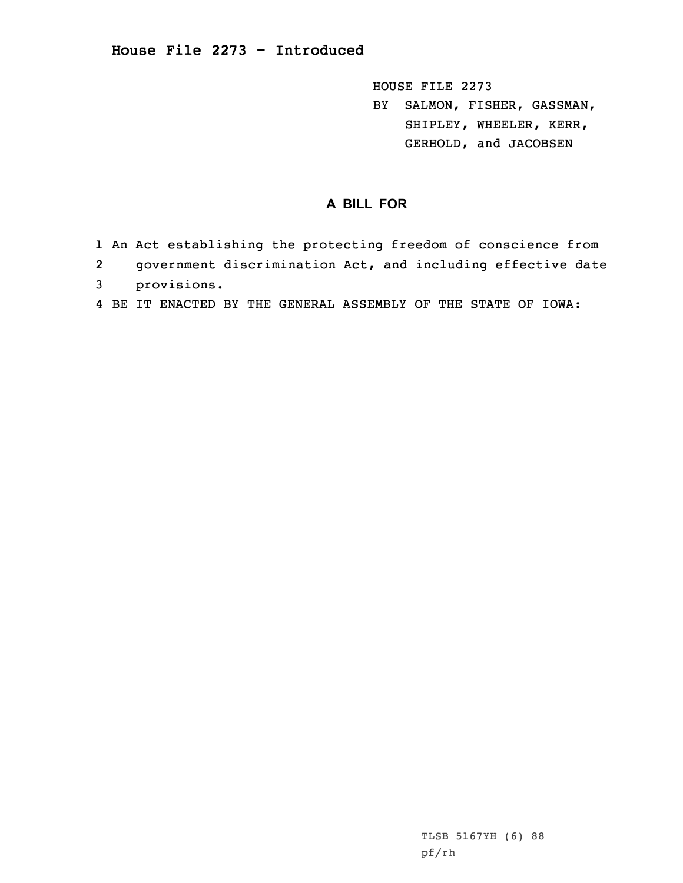HOUSE FILE 2273 BY SALMON, FISHER, GASSMAN, SHIPLEY, WHEELER, KERR, GERHOLD, and JACOBSEN

## **A BILL FOR**

- 1 An Act establishing the protecting freedom of conscience from
- 2government discrimination Act, and including effective date
- 3 provisions.
- 4 BE IT ENACTED BY THE GENERAL ASSEMBLY OF THE STATE OF IOWA: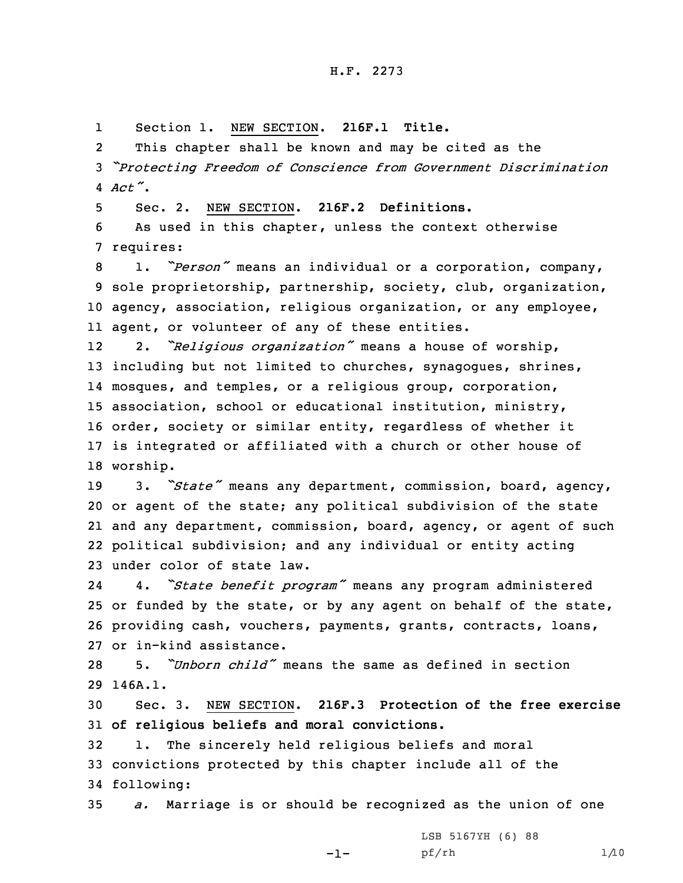1Section 1. NEW SECTION. **216F.1 Title.**

2 This chapter shall be known and may be cited as the <sup>3</sup> *"Protecting Freedom of Conscience from Government Discrimination* 4 *Act"*.

5 Sec. 2. NEW SECTION. **216F.2 Definitions.**

6 As used in this chapter, unless the context otherwise 7 requires:

 1. *"Person"* means an individual or <sup>a</sup> corporation, company, sole proprietorship, partnership, society, club, organization, agency, association, religious organization, or any employee, agent, or volunteer of any of these entities.

12 2. *"Religious organization"* means <sup>a</sup> house of worship, 13 including but not limited to churches, synagogues, shrines, 14 mosques, and temples, or <sup>a</sup> religious group, corporation, 15 association, school or educational institution, ministry, 16 order, society or similar entity, regardless of whether it 17 is integrated or affiliated with <sup>a</sup> church or other house of 18 worship.

 3. *"State"* means any department, commission, board, agency, or agent of the state; any political subdivision of the state and any department, commission, board, agency, or agent of such political subdivision; and any individual or entity acting under color of state law.

24 4. *"State benefit program"* means any program administered 25 or funded by the state, or by any agent on behalf of the state, 26 providing cash, vouchers, payments, grants, contracts, loans, 27 or in-kind assistance.

28 5. *"Unborn child"* means the same as defined in section 29 146A.1.

30 Sec. 3. NEW SECTION. **216F.3 Protection of the free exercise** 31 **of religious beliefs and moral convictions.**

32 1. The sincerely held religious beliefs and moral 33 convictions protected by this chapter include all of the 34 following:

35 *a.* Marriage is or should be recognized as the union of one

-1-

LSB 5167YH (6) 88 pf/rh 1/10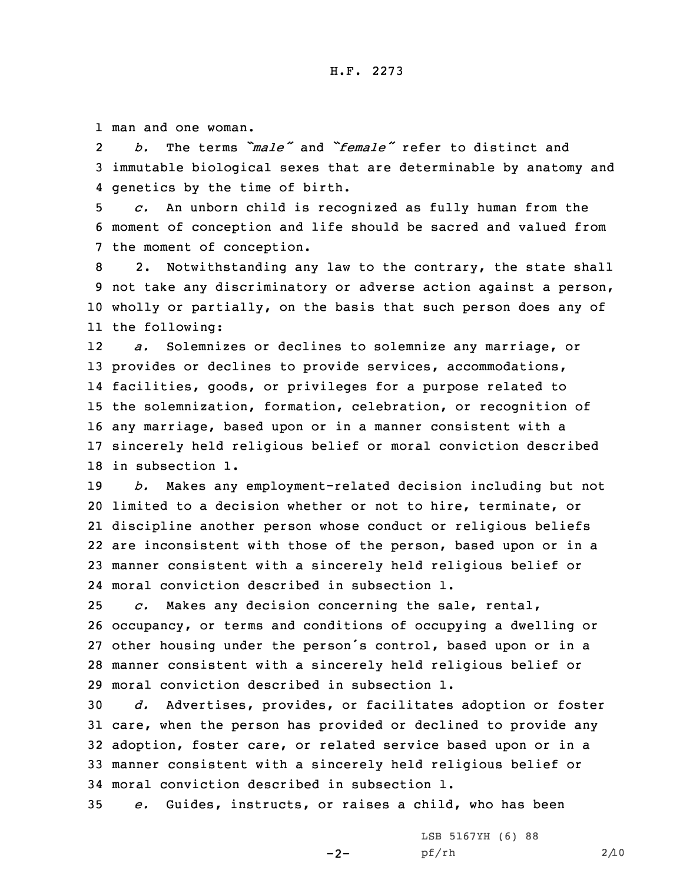1 man and one woman.

2 *b.* The terms *"male"* and *"female"* refer to distinct and 3 immutable biological sexes that are determinable by anatomy and 4 genetics by the time of birth.

5 *c.* An unborn child is recognized as fully human from the 6 moment of conception and life should be sacred and valued from 7 the moment of conception.

 2. Notwithstanding any law to the contrary, the state shall not take any discriminatory or adverse action against <sup>a</sup> person, wholly or partially, on the basis that such person does any of the following:

12 *a.* Solemnizes or declines to solemnize any marriage, or provides or declines to provide services, accommodations, facilities, goods, or privileges for <sup>a</sup> purpose related to the solemnization, formation, celebration, or recognition of any marriage, based upon or in <sup>a</sup> manner consistent with <sup>a</sup> sincerely held religious belief or moral conviction described in subsection 1.

 *b.* Makes any employment-related decision including but not limited to <sup>a</sup> decision whether or not to hire, terminate, or discipline another person whose conduct or religious beliefs are inconsistent with those of the person, based upon or in <sup>a</sup> manner consistent with <sup>a</sup> sincerely held religious belief or moral conviction described in subsection 1.

 *c.* Makes any decision concerning the sale, rental, occupancy, or terms and conditions of occupying <sup>a</sup> dwelling or other housing under the person's control, based upon or in <sup>a</sup> manner consistent with <sup>a</sup> sincerely held religious belief or moral conviction described in subsection 1.

 *d.* Advertises, provides, or facilitates adoption or foster care, when the person has provided or declined to provide any adoption, foster care, or related service based upon or in <sup>a</sup> manner consistent with <sup>a</sup> sincerely held religious belief or moral conviction described in subsection 1.

35 *e.* Guides, instructs, or raises <sup>a</sup> child, who has been

 $-2-$ 

LSB 5167YH (6) 88 pf/rh 2/10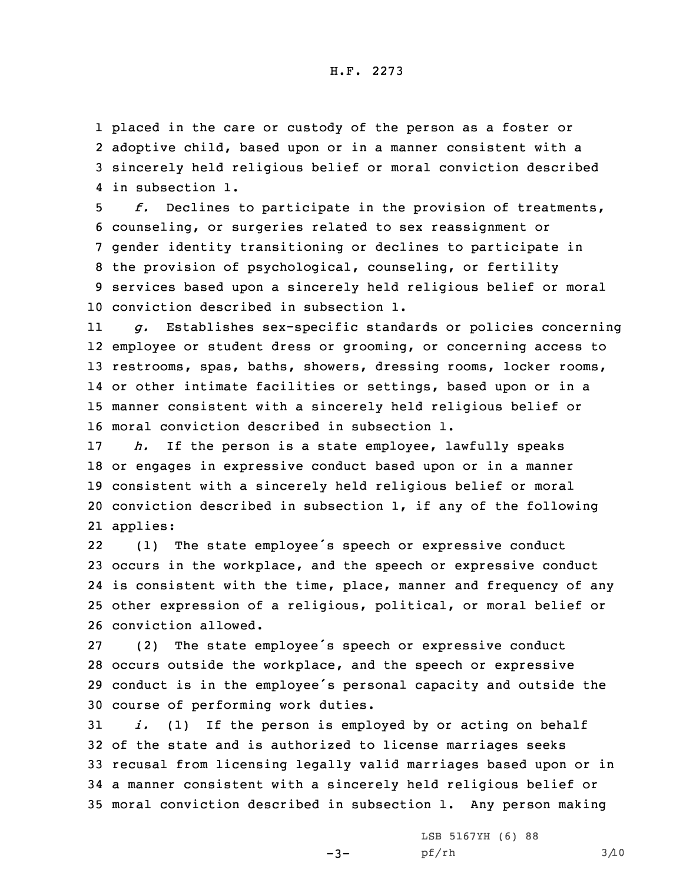placed in the care or custody of the person as <sup>a</sup> foster or adoptive child, based upon or in <sup>a</sup> manner consistent with <sup>a</sup> sincerely held religious belief or moral conviction described in subsection 1.

 *f.* Declines to participate in the provision of treatments, counseling, or surgeries related to sex reassignment or gender identity transitioning or declines to participate in the provision of psychological, counseling, or fertility services based upon <sup>a</sup> sincerely held religious belief or moral conviction described in subsection 1.

11 *g.* Establishes sex-specific standards or policies concerning employee or student dress or grooming, or concerning access to restrooms, spas, baths, showers, dressing rooms, locker rooms, or other intimate facilities or settings, based upon or in <sup>a</sup> manner consistent with <sup>a</sup> sincerely held religious belief or moral conviction described in subsection 1.

 *h.* If the person is <sup>a</sup> state employee, lawfully speaks or engages in expressive conduct based upon or in <sup>a</sup> manner consistent with <sup>a</sup> sincerely held religious belief or moral conviction described in subsection 1, if any of the following 21 applies:

22 (1) The state employee's speech or expressive conduct occurs in the workplace, and the speech or expressive conduct is consistent with the time, place, manner and frequency of any other expression of <sup>a</sup> religious, political, or moral belief or conviction allowed.

 (2) The state employee's speech or expressive conduct occurs outside the workplace, and the speech or expressive conduct is in the employee's personal capacity and outside the course of performing work duties.

 *i.* (1) If the person is employed by or acting on behalf of the state and is authorized to license marriages seeks recusal from licensing legally valid marriages based upon or in <sup>a</sup> manner consistent with <sup>a</sup> sincerely held religious belief or moral conviction described in subsection 1. Any person making

 $-3-$ 

LSB 5167YH (6) 88 pf/rh 3/10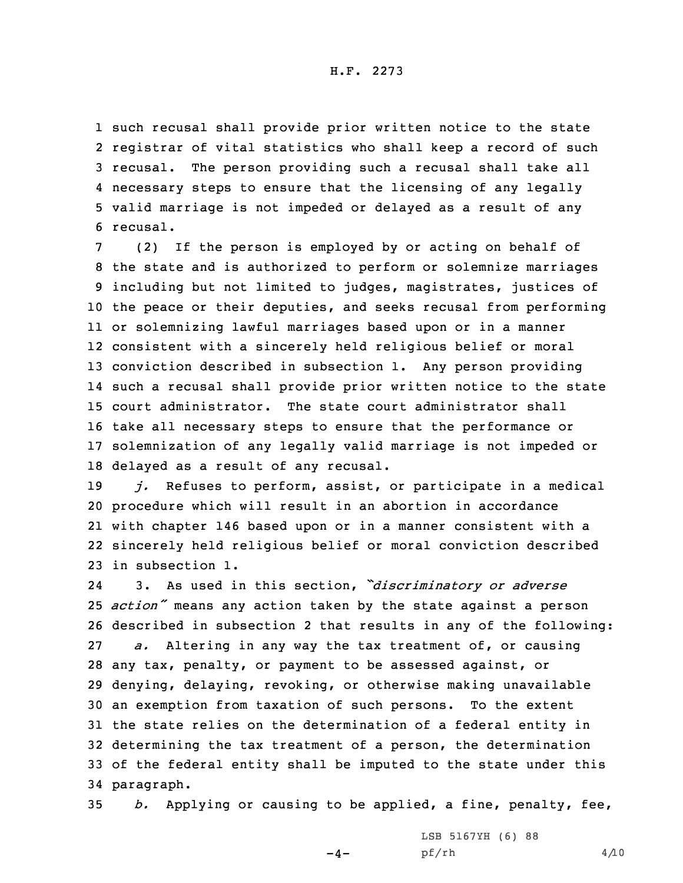## H.F. 2273

 such recusal shall provide prior written notice to the state registrar of vital statistics who shall keep <sup>a</sup> record of such recusal. The person providing such <sup>a</sup> recusal shall take all necessary steps to ensure that the licensing of any legally valid marriage is not impeded or delayed as <sup>a</sup> result of any 6 recusal.

 (2) If the person is employed by or acting on behalf of the state and is authorized to perform or solemnize marriages including but not limited to judges, magistrates, justices of the peace or their deputies, and seeks recusal from performing or solemnizing lawful marriages based upon or in <sup>a</sup> manner consistent with <sup>a</sup> sincerely held religious belief or moral conviction described in subsection 1. Any person providing such <sup>a</sup> recusal shall provide prior written notice to the state court administrator. The state court administrator shall take all necessary steps to ensure that the performance or solemnization of any legally valid marriage is not impeded or delayed as <sup>a</sup> result of any recusal.

 *j.* Refuses to perform, assist, or participate in <sup>a</sup> medical procedure which will result in an abortion in accordance with chapter 146 based upon or in <sup>a</sup> manner consistent with <sup>a</sup> sincerely held religious belief or moral conviction described in subsection 1.

24 3. As used in this section, *"discriminatory or adverse action"* means any action taken by the state against <sup>a</sup> person described in subsection 2 that results in any of the following: *a.* Altering in any way the tax treatment of, or causing any tax, penalty, or payment to be assessed against, or denying, delaying, revoking, or otherwise making unavailable an exemption from taxation of such persons. To the extent the state relies on the determination of <sup>a</sup> federal entity in determining the tax treatment of <sup>a</sup> person, the determination of the federal entity shall be imputed to the state under this paragraph.

35 *b.* Applying or causing to be applied, <sup>a</sup> fine, penalty, fee,

 $-4-$ 

LSB 5167YH (6) 88 pf/rh 4/10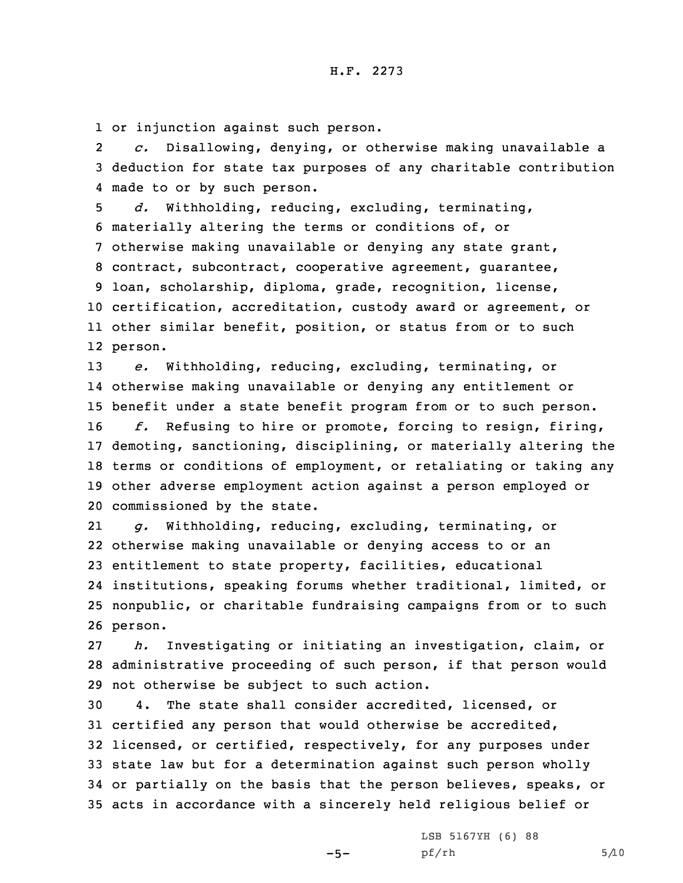1 or injunction against such person.

2 *c.* Disallowing, denying, or otherwise making unavailable <sup>a</sup> 3 deduction for state tax purposes of any charitable contribution 4 made to or by such person.

 *d.* Withholding, reducing, excluding, terminating, materially altering the terms or conditions of, or otherwise making unavailable or denying any state grant, contract, subcontract, cooperative agreement, guarantee, loan, scholarship, diploma, grade, recognition, license, certification, accreditation, custody award or agreement, or other similar benefit, position, or status from or to such 12 person.

13 *e.* Withholding, reducing, excluding, terminating, or 14 otherwise making unavailable or denying any entitlement or 15 benefit under <sup>a</sup> state benefit program from or to such person.

 *f.* Refusing to hire or promote, forcing to resign, firing, demoting, sanctioning, disciplining, or materially altering the terms or conditions of employment, or retaliating or taking any other adverse employment action against <sup>a</sup> person employed or commissioned by the state.

21 *g.* Withholding, reducing, excluding, terminating, or 22 otherwise making unavailable or denying access to or an 23 entitlement to state property, facilities, educational 24 institutions, speaking forums whether traditional, limited, or 25 nonpublic, or charitable fundraising campaigns from or to such 26 person.

27 *h.* Investigating or initiating an investigation, claim, or 28 administrative proceeding of such person, if that person would 29 not otherwise be subject to such action.

 4. The state shall consider accredited, licensed, or certified any person that would otherwise be accredited, licensed, or certified, respectively, for any purposes under state law but for <sup>a</sup> determination against such person wholly or partially on the basis that the person believes, speaks, or acts in accordance with <sup>a</sup> sincerely held religious belief or

 $-5-$ 

LSB 5167YH (6) 88  $pf/rh$  5/10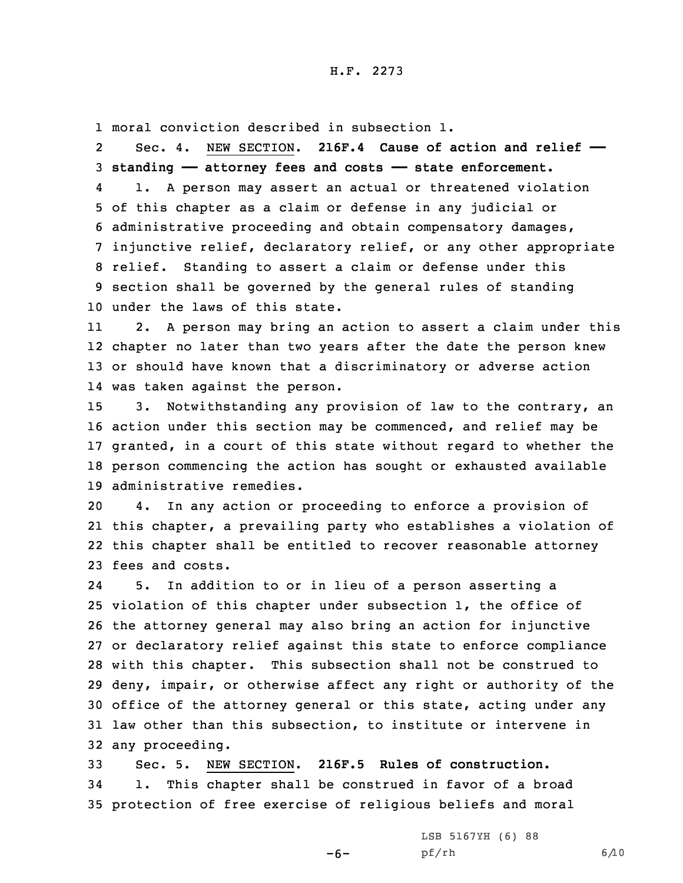1 moral conviction described in subsection 1.

2 Sec. 4. NEW SECTION. **216F.4 Cause of action and relief —— standing —— attorney fees and costs —— state enforcement.** 4 1. <sup>A</sup> person may assert an actual or threatened violation of this chapter as <sup>a</sup> claim or defense in any judicial or administrative proceeding and obtain compensatory damages, injunctive relief, declaratory relief, or any other appropriate relief. Standing to assert <sup>a</sup> claim or defense under this section shall be governed by the general rules of standing under the laws of this state.

11 2. <sup>A</sup> person may bring an action to assert <sup>a</sup> claim under this 12 chapter no later than two years after the date the person knew 13 or should have known that <sup>a</sup> discriminatory or adverse action 14 was taken against the person.

 3. Notwithstanding any provision of law to the contrary, an action under this section may be commenced, and relief may be granted, in <sup>a</sup> court of this state without regard to whether the person commencing the action has sought or exhausted available administrative remedies.

 4. In any action or proceeding to enforce <sup>a</sup> provision of this chapter, <sup>a</sup> prevailing party who establishes <sup>a</sup> violation of this chapter shall be entitled to recover reasonable attorney fees and costs.

24 5. In addition to or in lieu of <sup>a</sup> person asserting <sup>a</sup> violation of this chapter under subsection 1, the office of the attorney general may also bring an action for injunctive or declaratory relief against this state to enforce compliance with this chapter. This subsection shall not be construed to deny, impair, or otherwise affect any right or authority of the office of the attorney general or this state, acting under any law other than this subsection, to institute or intervene in any proceeding.

33 Sec. 5. NEW SECTION. **216F.5 Rules of construction.** 34 1. This chapter shall be construed in favor of <sup>a</sup> broad 35 protection of free exercise of religious beliefs and moral

 $-6-$ 

LSB 5167YH (6) 88 pf/rh 6/10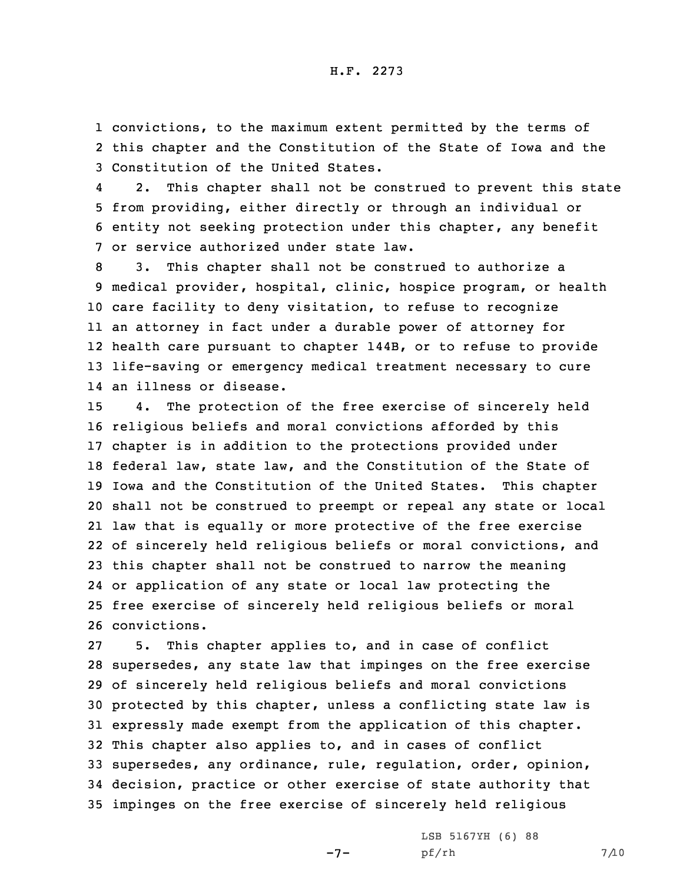1 convictions, to the maximum extent permitted by the terms of 2 this chapter and the Constitution of the State of Iowa and the 3 Constitution of the United States.

4 2. This chapter shall not be construed to prevent this state 5 from providing, either directly or through an individual or 6 entity not seeking protection under this chapter, any benefit 7 or service authorized under state law.

 3. This chapter shall not be construed to authorize <sup>a</sup> medical provider, hospital, clinic, hospice program, or health care facility to deny visitation, to refuse to recognize an attorney in fact under <sup>a</sup> durable power of attorney for health care pursuant to chapter 144B, or to refuse to provide life-saving or emergency medical treatment necessary to cure an illness or disease.

 4. The protection of the free exercise of sincerely held religious beliefs and moral convictions afforded by this chapter is in addition to the protections provided under federal law, state law, and the Constitution of the State of Iowa and the Constitution of the United States. This chapter shall not be construed to preempt or repeal any state or local law that is equally or more protective of the free exercise of sincerely held religious beliefs or moral convictions, and this chapter shall not be construed to narrow the meaning or application of any state or local law protecting the free exercise of sincerely held religious beliefs or moral convictions.

 5. This chapter applies to, and in case of conflict supersedes, any state law that impinges on the free exercise of sincerely held religious beliefs and moral convictions protected by this chapter, unless <sup>a</sup> conflicting state law is expressly made exempt from the application of this chapter. This chapter also applies to, and in cases of conflict supersedes, any ordinance, rule, regulation, order, opinion, decision, practice or other exercise of state authority that impinges on the free exercise of sincerely held religious

 $-7-$ 

LSB 5167YH (6) 88 pf/rh 7/10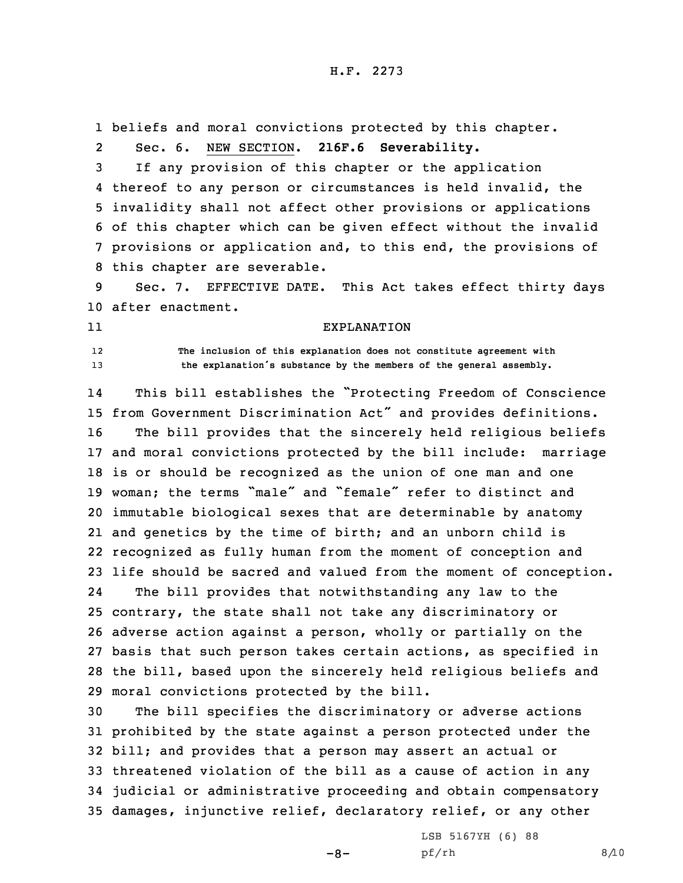1 beliefs and moral convictions protected by this chapter.

2Sec. 6. NEW SECTION. **216F.6 Severability.**

 If any provision of this chapter or the application thereof to any person or circumstances is held invalid, the invalidity shall not affect other provisions or applications of this chapter which can be given effect without the invalid provisions or application and, to this end, the provisions of this chapter are severable.

9 Sec. 7. EFFECTIVE DATE. This Act takes effect thirty days 10 after enactment.

11

12

 **The inclusion of this explanation does not constitute agreement with** <sup>13</sup> **the explanation's substance by the members of the general assembly.**

EXPLANATION

14 This bill establishes the "Protecting Freedom of Conscience from Government Discrimination Act" and provides definitions. The bill provides that the sincerely held religious beliefs and moral convictions protected by the bill include: marriage is or should be recognized as the union of one man and one woman; the terms "male" and "female" refer to distinct and immutable biological sexes that are determinable by anatomy and genetics by the time of birth; and an unborn child is recognized as fully human from the moment of conception and life should be sacred and valued from the moment of conception. 24 The bill provides that notwithstanding any law to the contrary, the state shall not take any discriminatory or adverse action against <sup>a</sup> person, wholly or partially on the basis that such person takes certain actions, as specified in the bill, based upon the sincerely held religious beliefs and

29 moral convictions protected by the bill.

 The bill specifies the discriminatory or adverse actions prohibited by the state against <sup>a</sup> person protected under the bill; and provides that <sup>a</sup> person may assert an actual or threatened violation of the bill as <sup>a</sup> cause of action in any judicial or administrative proceeding and obtain compensatory damages, injunctive relief, declaratory relief, or any other

 $-8-$ 

LSB 5167YH (6) 88 pf/rh 8/10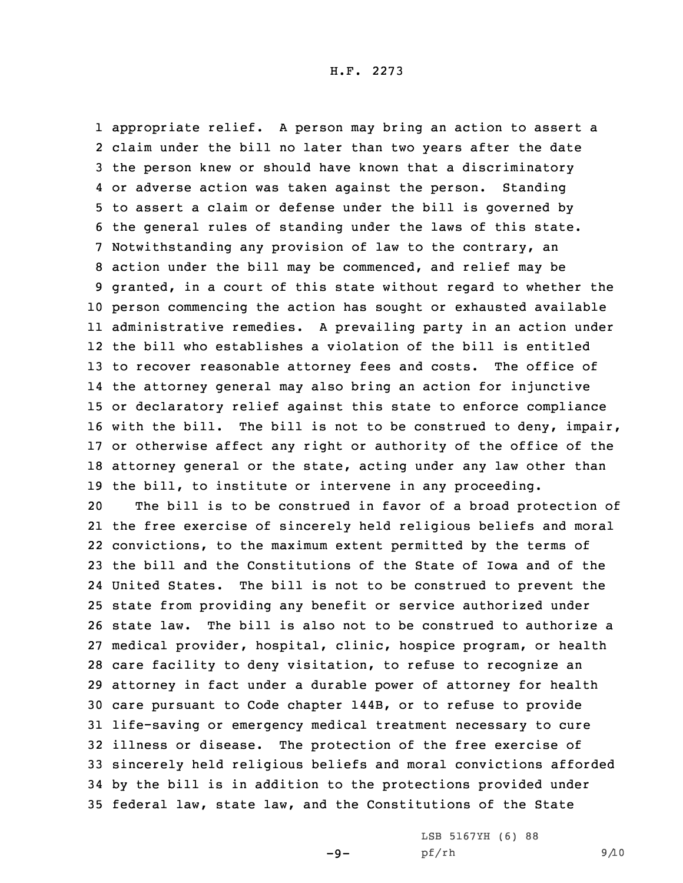appropriate relief. <sup>A</sup> person may bring an action to assert <sup>a</sup> claim under the bill no later than two years after the date the person knew or should have known that <sup>a</sup> discriminatory or adverse action was taken against the person. Standing to assert <sup>a</sup> claim or defense under the bill is governed by the general rules of standing under the laws of this state. Notwithstanding any provision of law to the contrary, an action under the bill may be commenced, and relief may be granted, in <sup>a</sup> court of this state without regard to whether the person commencing the action has sought or exhausted available administrative remedies. <sup>A</sup> prevailing party in an action under the bill who establishes <sup>a</sup> violation of the bill is entitled to recover reasonable attorney fees and costs. The office of the attorney general may also bring an action for injunctive or declaratory relief against this state to enforce compliance with the bill. The bill is not to be construed to deny, impair, or otherwise affect any right or authority of the office of the attorney general or the state, acting under any law other than the bill, to institute or intervene in any proceeding.

 The bill is to be construed in favor of <sup>a</sup> broad protection of the free exercise of sincerely held religious beliefs and moral convictions, to the maximum extent permitted by the terms of the bill and the Constitutions of the State of Iowa and of the United States. The bill is not to be construed to prevent the state from providing any benefit or service authorized under state law. The bill is also not to be construed to authorize <sup>a</sup> medical provider, hospital, clinic, hospice program, or health care facility to deny visitation, to refuse to recognize an attorney in fact under <sup>a</sup> durable power of attorney for health care pursuant to Code chapter 144B, or to refuse to provide life-saving or emergency medical treatment necessary to cure illness or disease. The protection of the free exercise of sincerely held religious beliefs and moral convictions afforded by the bill is in addition to the protections provided under federal law, state law, and the Constitutions of the State

 $-9-$ 

LSB 5167YH (6) 88 pf/rh 9/10